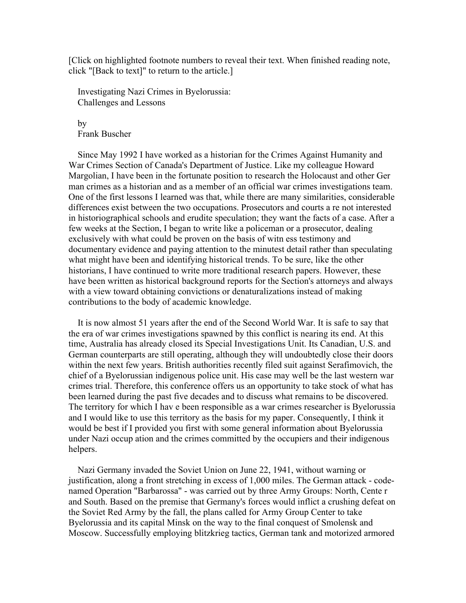[Click on highlighted footnote numbers to reveal their text. When finished reading note, click "[Back to text]" to return to the article.]

 Investigating Nazi Crimes in Byelorussia: Challenges and Lessons

 by Frank Buscher

 Since May 1992 I have worked as a historian for the Crimes Against Humanity and War Crimes Section of Canada's Department of Justice. Like my colleague Howard Margolian, I have been in the fortunate position to research the Holocaust and other Ger man crimes as a historian and as a member of an official war crimes investigations team. One of the first lessons I learned was that, while there are many similarities, considerable differences exist between the two occupations. Prosecutors and courts a re not interested in historiographical schools and erudite speculation; they want the facts of a case. After a few weeks at the Section, I began to write like a policeman or a prosecutor, dealing exclusively with what could be proven on the basis of witn ess testimony and documentary evidence and paying attention to the minutest detail rather than speculating what might have been and identifying historical trends. To be sure, like the other historians, I have continued to write more traditional research papers. However, these have been written as historical background reports for the Section's attorneys and always with a view toward obtaining convictions or denaturalizations instead of making contributions to the body of academic knowledge.

 It is now almost 51 years after the end of the Second World War. It is safe to say that the era of war crimes investigations spawned by this conflict is nearing its end. At this time, Australia has already closed its Special Investigations Unit. Its Canadian, U.S. and German counterparts are still operating, although they will undoubtedly close their doors within the next few years. British authorities recently filed suit against Serafimovich, the chief of a Byelorussian indigenous police unit. His case may well be the last western war crimes trial. Therefore, this conference offers us an opportunity to take stock of what has been learned during the past five decades and to discuss what remains to be discovered. The territory for which I hav e been responsible as a war crimes researcher is Byelorussia and I would like to use this territory as the basis for my paper. Consequently, I think it would be best if I provided you first with some general information about Byelorussia under Nazi occup ation and the crimes committed by the occupiers and their indigenous helpers.

 Nazi Germany invaded the Soviet Union on June 22, 1941, without warning or justification, along a front stretching in excess of 1,000 miles. The German attack - codenamed Operation "Barbarossa" - was carried out by three Army Groups: North, Cente r and South. Based on the premise that Germany's forces would inflict a crushing defeat on the Soviet Red Army by the fall, the plans called for Army Group Center to take Byelorussia and its capital Minsk on the way to the final conquest of Smolensk and Moscow. Successfully employing blitzkrieg tactics, German tank and motorized armored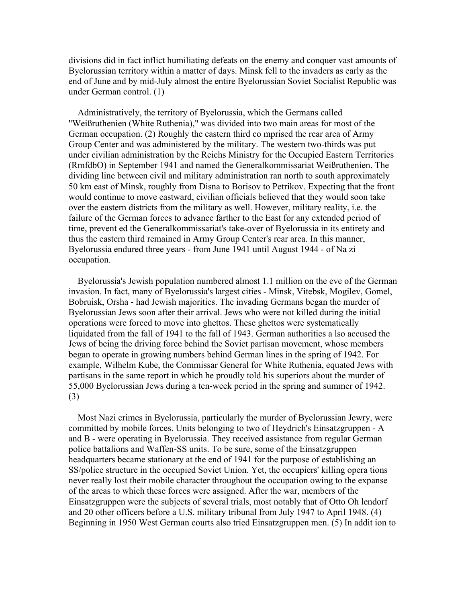divisions did in fact inflict humiliating defeats on the enemy and conquer vast amounts of Byelorussian territory within a matter of days. Minsk fell to the invaders as early as the end of June and by mid-July almost the entire Byelorussian Soviet Socialist Republic was under German control. (1)

 Administratively, the territory of Byelorussia, which the Germans called "Weißruthenien (White Ruthenia)," was divided into two main areas for most of the German occupation. (2) Roughly the eastern third co mprised the rear area of Army Group Center and was administered by the military. The western two-thirds was put under civilian administration by the Reichs Ministry for the Occupied Eastern Territories (RmfdbO) in September 1941 and named the Generalkommissariat Weißruthenien. The dividing line between civil and military administration ran north to south approximately 50 km east of Minsk, roughly from Disna to Borisov to Petrikov. Expecting that the front would continue to move eastward, civilian officials believed that they would soon take over the eastern districts from the military as well. However, military reality, i.e. the failure of the German forces to advance farther to the East for any extended period of time, prevent ed the Generalkommissariat's take-over of Byelorussia in its entirety and thus the eastern third remained in Army Group Center's rear area. In this manner, Byelorussia endured three years - from June 1941 until August 1944 - of Na zi occupation.

 Byelorussia's Jewish population numbered almost 1.1 million on the eve of the German invasion. In fact, many of Byelorussia's largest cities - Minsk, Vitebsk, Mogilev, Gomel, Bobruisk, Orsha - had Jewish majorities. The invading Germans began the murder of Byelorussian Jews soon after their arrival. Jews who were not killed during the initial operations were forced to move into ghettos. These ghettos were systematically liquidated from the fall of 1941 to the fall of 1943. German authorities a lso accused the Jews of being the driving force behind the Soviet partisan movement, whose members began to operate in growing numbers behind German lines in the spring of 1942. For example, Wilhelm Kube, the Commissar General for White Ruthenia, equated Jews with partisans in the same report in which he proudly told his superiors about the murder of 55,000 Byelorussian Jews during a ten-week period in the spring and summer of 1942. (3)

 Most Nazi crimes in Byelorussia, particularly the murder of Byelorussian Jewry, were committed by mobile forces. Units belonging to two of Heydrich's Einsatzgruppen - A and B - were operating in Byelorussia. They received assistance from regular German police battalions and Waffen-SS units. To be sure, some of the Einsatzgruppen headquarters became stationary at the end of 1941 for the purpose of establishing an SS/police structure in the occupied Soviet Union. Yet, the occupiers' killing opera tions never really lost their mobile character throughout the occupation owing to the expanse of the areas to which these forces were assigned. After the war, members of the Einsatzgruppen were the subjects of several trials, most notably that of Otto Oh lendorf and 20 other officers before a U.S. military tribunal from July 1947 to April 1948. (4) Beginning in 1950 West German courts also tried Einsatzgruppen men. (5) In addit ion to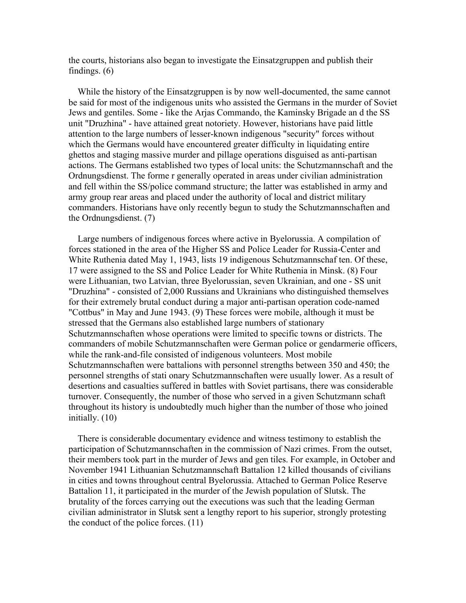the courts, historians also began to investigate the Einsatzgruppen and publish their findings. (6)

 While the history of the Einsatzgruppen is by now well-documented, the same cannot be said for most of the indigenous units who assisted the Germans in the murder of Soviet Jews and gentiles. Some - like the Arjas Commando, the Kaminsky Brigade an d the SS unit "Druzhina" - have attained great notoriety. However, historians have paid little attention to the large numbers of lesser-known indigenous "security" forces without which the Germans would have encountered greater difficulty in liquidating entire ghettos and staging massive murder and pillage operations disguised as anti-partisan actions. The Germans established two types of local units: the Schutzmannschaft and the Ordnungsdienst. The forme r generally operated in areas under civilian administration and fell within the SS/police command structure; the latter was established in army and army group rear areas and placed under the authority of local and district military commanders. Historians have only recently begun to study the Schutzmannschaften and the Ordnungsdienst. (7)

 Large numbers of indigenous forces where active in Byelorussia. A compilation of forces stationed in the area of the Higher SS and Police Leader for Russia-Center and White Ruthenia dated May 1, 1943, lists 19 indigenous Schutzmannschaf ten. Of these, 17 were assigned to the SS and Police Leader for White Ruthenia in Minsk. (8) Four were Lithuanian, two Latvian, three Byelorussian, seven Ukrainian, and one - SS unit "Druzhina" - consisted of 2,000 Russians and Ukrainians who distinguished themselves for their extremely brutal conduct during a major anti-partisan operation code-named "Cottbus" in May and June 1943. (9) These forces were mobile, although it must be stressed that the Germans also established large numbers of stationary Schutzmannschaften whose operations were limited to specific towns or districts. The commanders of mobile Schutzmannschaften were German police or gendarmerie officers, while the rank-and-file consisted of indigenous volunteers. Most mobile Schutzmannschaften were battalions with personnel strengths between 350 and 450; the personnel strengths of stati onary Schutzmannschaften were usually lower. As a result of desertions and casualties suffered in battles with Soviet partisans, there was considerable turnover. Consequently, the number of those who served in a given Schutzmann schaft throughout its history is undoubtedly much higher than the number of those who joined initially. (10)

 There is considerable documentary evidence and witness testimony to establish the participation of Schutzmannschaften in the commission of Nazi crimes. From the outset, their members took part in the murder of Jews and gen tiles. For example, in October and November 1941 Lithuanian Schutzmannschaft Battalion 12 killed thousands of civilians in cities and towns throughout central Byelorussia. Attached to German Police Reserve Battalion 11, it participated in the murder of the Jewish population of Slutsk. The brutality of the forces carrying out the executions was such that the leading German civilian administrator in Slutsk sent a lengthy report to his superior, strongly protesting the conduct of the police forces. (11)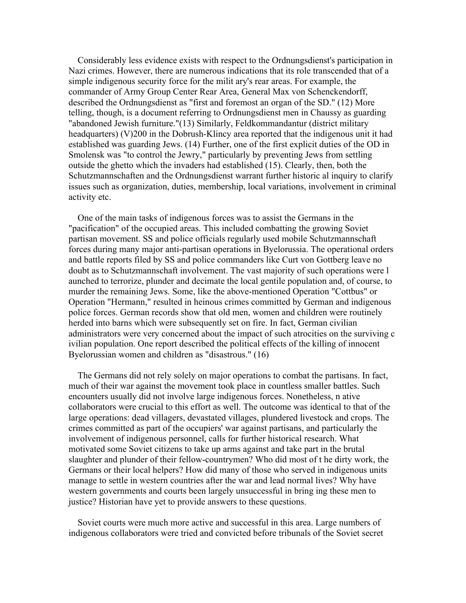Considerably less evidence exists with respect to the Ordnungsdienst's participation in Nazi crimes. However, there are numerous indications that its role transcended that of a simple indigenous security force for the milit ary's rear areas. For example, the commander of Army Group Center Rear Area, General Max von Schenckendorff, described the Ordnungsdienst as "first and foremost an organ of the SD." (12) More telling, though, is a document referring to Ordnungsdienst men in Chaussy as guarding "abandoned Jewish furniture."(13) Similarly, Feldkommandantur (district military headquarters) (V)200 in the Dobrush-Klincy area reported that the indigenous unit it had established was guarding Jews. (14) Further, one of the first explicit duties of the OD in Smolensk was "to control the Jewry," particularly by preventing Jews from settling outside the ghetto which the invaders had established (15). Clearly, then, both the Schutzmannschaften and the Ordnungsdienst warrant further historic al inquiry to clarify issues such as organization, duties, membership, local variations, involvement in criminal activity etc.

 One of the main tasks of indigenous forces was to assist the Germans in the "pacification" of the occupied areas. This included combatting the growing Soviet partisan movement. SS and police officials regularly used mobile Schutzmannschaft forces during many major anti-partisan operations in Byelorussia. The operational orders and battle reports filed by SS and police commanders like Curt von Gottberg leave no doubt as to Schutzmannschaft involvement. The vast majority of such operations were l aunched to terrorize, plunder and decimate the local gentile population and, of course, to murder the remaining Jews. Some, like the above-mentioned Operation "Cottbus" or Operation "Hermann," resulted in heinous crimes committed by German and indigenous police forces. German records show that old men, women and children were routinely herded into barns which were subsequently set on fire. In fact, German civilian administrators were very concerned about the impact of such atrocities on the surviving c ivilian population. One report described the political effects of the killing of innocent Byelorussian women and children as "disastrous." (16)

 The Germans did not rely solely on major operations to combat the partisans. In fact, much of their war against the movement took place in countless smaller battles. Such encounters usually did not involve large indigenous forces. Nonetheless, n ative collaborators were crucial to this effort as well. The outcome was identical to that of the large operations: dead villagers, devastated villages, plundered livestock and crops. The crimes committed as part of the occupiers' war against partisans, and particularly the involvement of indigenous personnel, calls for further historical research. What motivated some Soviet citizens to take up arms against and take part in the brutal slaughter and plunder of their fellow-countrymen? Who did most of t he dirty work, the Germans or their local helpers? How did many of those who served in indigenous units manage to settle in western countries after the war and lead normal lives? Why have western governments and courts been largely unsuccessful in bring ing these men to justice? Historian have yet to provide answers to these questions.

 Soviet courts were much more active and successful in this area. Large numbers of indigenous collaborators were tried and convicted before tribunals of the Soviet secret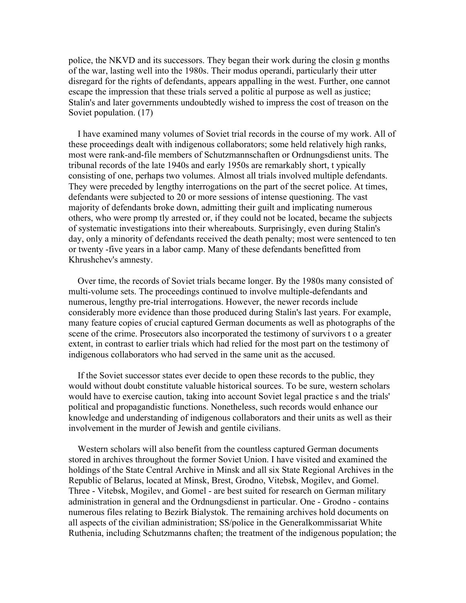police, the NKVD and its successors. They began their work during the closin g months of the war, lasting well into the 1980s. Their modus operandi, particularly their utter disregard for the rights of defendants, appears appalling in the west. Further, one cannot escape the impression that these trials served a politic al purpose as well as justice; Stalin's and later governments undoubtedly wished to impress the cost of treason on the Soviet population. (17)

 I have examined many volumes of Soviet trial records in the course of my work. All of these proceedings dealt with indigenous collaborators; some held relatively high ranks, most were rank-and-file members of Schutzmannschaften or Ordnungsdienst units. The tribunal records of the late 1940s and early 1950s are remarkably short, t ypically consisting of one, perhaps two volumes. Almost all trials involved multiple defendants. They were preceded by lengthy interrogations on the part of the secret police. At times, defendants were subjected to 20 or more sessions of intense questioning. The vast majority of defendants broke down, admitting their guilt and implicating numerous others, who were promp tly arrested or, if they could not be located, became the subjects of systematic investigations into their whereabouts. Surprisingly, even during Stalin's day, only a minority of defendants received the death penalty; most were sentenced to ten or twenty -five years in a labor camp. Many of these defendants benefitted from Khrushchev's amnesty.

 Over time, the records of Soviet trials became longer. By the 1980s many consisted of multi-volume sets. The proceedings continued to involve multiple-defendants and numerous, lengthy pre-trial interrogations. However, the newer records include considerably more evidence than those produced during Stalin's last years. For example, many feature copies of crucial captured German documents as well as photographs of the scene of the crime. Prosecutors also incorporated the testimony of survivors t o a greater extent, in contrast to earlier trials which had relied for the most part on the testimony of indigenous collaborators who had served in the same unit as the accused.

 If the Soviet successor states ever decide to open these records to the public, they would without doubt constitute valuable historical sources. To be sure, western scholars would have to exercise caution, taking into account Soviet legal practice s and the trials' political and propagandistic functions. Nonetheless, such records would enhance our knowledge and understanding of indigenous collaborators and their units as well as their involvement in the murder of Jewish and gentile civilians.

 Western scholars will also benefit from the countless captured German documents stored in archives throughout the former Soviet Union. I have visited and examined the holdings of the State Central Archive in Minsk and all six State Regional Archives in the Republic of Belarus, located at Minsk, Brest, Grodno, Vitebsk, Mogilev, and Gomel. Three - Vitebsk, Mogilev, and Gomel - are best suited for research on German military administration in general and the Ordnungsdienst in particular. One - Grodno - contains numerous files relating to Bezirk Bialystok. The remaining archives hold documents on all aspects of the civilian administration; SS/police in the Generalkommissariat White Ruthenia, including Schutzmanns chaften; the treatment of the indigenous population; the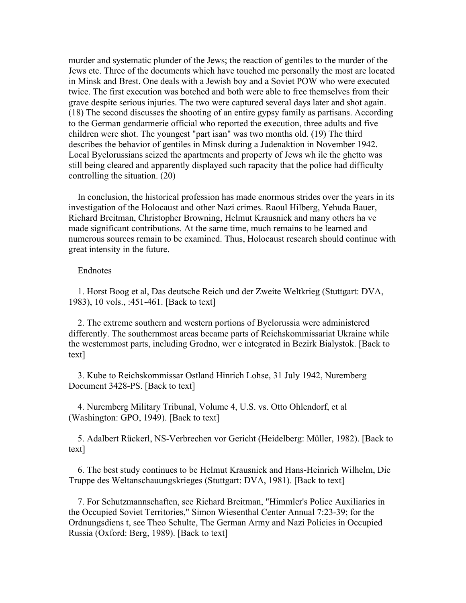murder and systematic plunder of the Jews; the reaction of gentiles to the murder of the Jews etc. Three of the documents which have touched me personally the most are located in Minsk and Brest. One deals with a Jewish boy and a Soviet POW who were executed twice. The first execution was botched and both were able to free themselves from their grave despite serious injuries. The two were captured several days later and shot again. (18) The second discusses the shooting of an entire gypsy family as partisans. According to the German gendarmerie official who reported the execution, three adults and five children were shot. The youngest "part isan" was two months old. (19) The third describes the behavior of gentiles in Minsk during a Judenaktion in November 1942. Local Byelorussians seized the apartments and property of Jews wh ile the ghetto was still being cleared and apparently displayed such rapacity that the police had difficulty controlling the situation. (20)

 In conclusion, the historical profession has made enormous strides over the years in its investigation of the Holocaust and other Nazi crimes. Raoul Hilberg, Yehuda Bauer, Richard Breitman, Christopher Browning, Helmut Krausnick and many others ha ve made significant contributions. At the same time, much remains to be learned and numerous sources remain to be examined. Thus, Holocaust research should continue with great intensity in the future.

## Endnotes

 1. Horst Boog et al, Das deutsche Reich und der Zweite Weltkrieg (Stuttgart: DVA, 1983), 10 vols., :451-461. [Back to text]

 2. The extreme southern and western portions of Byelorussia were administered differently. The southernmost areas became parts of Reichskommissariat Ukraine while the westernmost parts, including Grodno, wer e integrated in Bezirk Bialystok. [Back to text]

 3. Kube to Reichskommissar Ostland Hinrich Lohse, 31 July 1942, Nuremberg Document 3428-PS. [Back to text]

 4. Nuremberg Military Tribunal, Volume 4, U.S. vs. Otto Ohlendorf, et al (Washington: GPO, 1949). [Back to text]

 5. Adalbert Rückerl, NS-Verbrechen vor Gericht (Heidelberg: Müller, 1982). [Back to text]

 6. The best study continues to be Helmut Krausnick and Hans-Heinrich Wilhelm, Die Truppe des Weltanschauungskrieges (Stuttgart: DVA, 1981). [Back to text]

 7. For Schutzmannschaften, see Richard Breitman, "Himmler's Police Auxiliaries in the Occupied Soviet Territories," Simon Wiesenthal Center Annual 7:23-39; for the Ordnungsdiens t, see Theo Schulte, The German Army and Nazi Policies in Occupied Russia (Oxford: Berg, 1989). [Back to text]